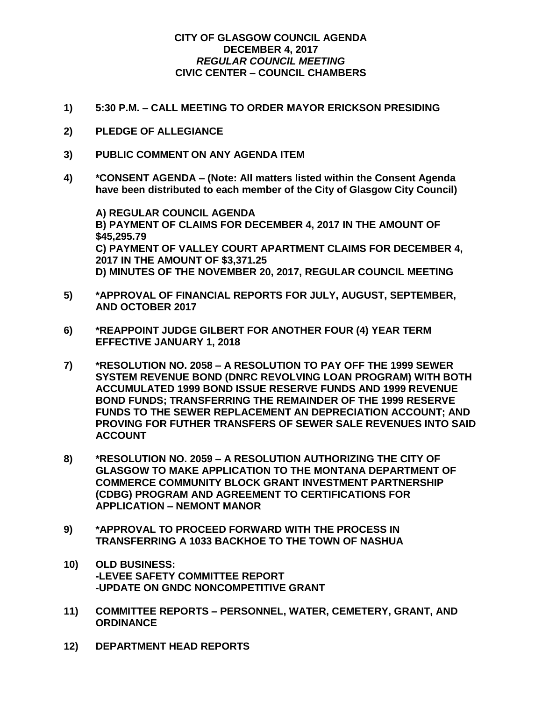## **CITY OF GLASGOW COUNCIL AGENDA DECEMBER 4, 2017** *REGULAR COUNCIL MEETING* **CIVIC CENTER – COUNCIL CHAMBERS**

- **1) 5:30 P.M. – CALL MEETING TO ORDER MAYOR ERICKSON PRESIDING**
- **2) PLEDGE OF ALLEGIANCE**
- **3) PUBLIC COMMENT ON ANY AGENDA ITEM**
- **4) \*CONSENT AGENDA – (Note: All matters listed within the Consent Agenda have been distributed to each member of the City of Glasgow City Council)**

**A) REGULAR COUNCIL AGENDA B) PAYMENT OF CLAIMS FOR DECEMBER 4, 2017 IN THE AMOUNT OF \$45,295.79 C) PAYMENT OF VALLEY COURT APARTMENT CLAIMS FOR DECEMBER 4, 2017 IN THE AMOUNT OF \$3,371.25 D) MINUTES OF THE NOVEMBER 20, 2017, REGULAR COUNCIL MEETING**

- **5) \*APPROVAL OF FINANCIAL REPORTS FOR JULY, AUGUST, SEPTEMBER, AND OCTOBER 2017**
- **6) \*REAPPOINT JUDGE GILBERT FOR ANOTHER FOUR (4) YEAR TERM EFFECTIVE JANUARY 1, 2018**
- **7) \*RESOLUTION NO. 2058 – A RESOLUTION TO PAY OFF THE 1999 SEWER SYSTEM REVENUE BOND (DNRC REVOLVING LOAN PROGRAM) WITH BOTH ACCUMULATED 1999 BOND ISSUE RESERVE FUNDS AND 1999 REVENUE BOND FUNDS; TRANSFERRING THE REMAINDER OF THE 1999 RESERVE FUNDS TO THE SEWER REPLACEMENT AN DEPRECIATION ACCOUNT; AND PROVING FOR FUTHER TRANSFERS OF SEWER SALE REVENUES INTO SAID ACCOUNT**
- **8) \*RESOLUTION NO. 2059 – A RESOLUTION AUTHORIZING THE CITY OF GLASGOW TO MAKE APPLICATION TO THE MONTANA DEPARTMENT OF COMMERCE COMMUNITY BLOCK GRANT INVESTMENT PARTNERSHIP (CDBG) PROGRAM AND AGREEMENT TO CERTIFICATIONS FOR APPLICATION – NEMONT MANOR**
- **9) \*APPROVAL TO PROCEED FORWARD WITH THE PROCESS IN TRANSFERRING A 1033 BACKHOE TO THE TOWN OF NASHUA**
- **10) OLD BUSINESS: -LEVEE SAFETY COMMITTEE REPORT -UPDATE ON GNDC NONCOMPETITIVE GRANT**
- **11) COMMITTEE REPORTS – PERSONNEL, WATER, CEMETERY, GRANT, AND ORDINANCE**
- **12) DEPARTMENT HEAD REPORTS**